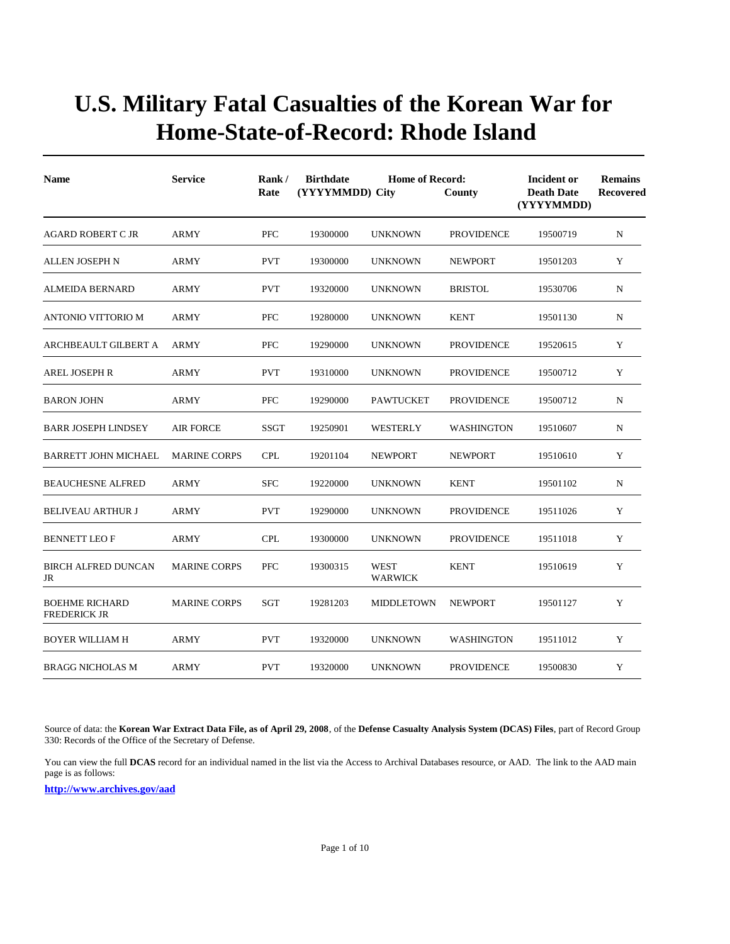| <b>Name</b>                                  | <b>Service</b>      |             | <b>Birthdate</b><br>(YYYYMMDD) City | <b>Home of Record:</b> | County            | <b>Incident or</b><br><b>Death Date</b><br>(YYYYMMDD) | <b>Remains</b><br><b>Recovered</b> |
|----------------------------------------------|---------------------|-------------|-------------------------------------|------------------------|-------------------|-------------------------------------------------------|------------------------------------|
| <b>AGARD ROBERT C JR</b>                     | ARMY                | <b>PFC</b>  | 19300000                            | <b>UNKNOWN</b>         | <b>PROVIDENCE</b> | 19500719                                              | N                                  |
| <b>ALLEN JOSEPH N</b>                        | ARMY                | <b>PVT</b>  | 19300000                            | <b>UNKNOWN</b>         | <b>NEWPORT</b>    | 19501203                                              | Y                                  |
| ALMEIDA BERNARD                              | ARMY                | <b>PVT</b>  | 19320000                            | <b>UNKNOWN</b>         | <b>BRISTOL</b>    | 19530706                                              | N                                  |
| ANTONIO VITTORIO M                           | ARMY                | <b>PFC</b>  | 19280000                            | <b>UNKNOWN</b>         | <b>KENT</b>       | 19501130                                              | ${\bf N}$                          |
| ARCHBEAULT GILBERT A                         | <b>ARMY</b>         | <b>PFC</b>  | 19290000                            | <b>UNKNOWN</b>         | <b>PROVIDENCE</b> | 19520615                                              | Y                                  |
| <b>AREL JOSEPH R</b>                         | ARMY                | <b>PVT</b>  | 19310000                            | <b>UNKNOWN</b>         | <b>PROVIDENCE</b> | 19500712                                              | Y                                  |
| <b>BARON JOHN</b>                            | ARMY                | <b>PFC</b>  | 19290000                            | <b>PAWTUCKET</b>       | <b>PROVIDENCE</b> | 19500712                                              | N                                  |
| <b>BARR JOSEPH LINDSEY</b>                   | <b>AIR FORCE</b>    | <b>SSGT</b> | 19250901                            | WESTERLY               | <b>WASHINGTON</b> | 19510607                                              | N                                  |
| <b>BARRETT JOHN MICHAEL</b>                  | <b>MARINE CORPS</b> | <b>CPL</b>  | 19201104                            | <b>NEWPORT</b>         | <b>NEWPORT</b>    | 19510610                                              | Y                                  |
| <b>BEAUCHESNE ALFRED</b>                     | <b>ARMY</b>         | <b>SFC</b>  | 19220000                            | <b>UNKNOWN</b>         | <b>KENT</b>       | 19501102                                              | N                                  |
| <b>BELIVEAU ARTHUR J</b>                     | <b>ARMY</b>         | <b>PVT</b>  | 19290000                            | <b>UNKNOWN</b>         | <b>PROVIDENCE</b> | 19511026                                              | Y                                  |
| <b>BENNETT LEO F</b>                         | <b>ARMY</b>         | <b>CPL</b>  | 19300000                            | <b>UNKNOWN</b>         | <b>PROVIDENCE</b> | 19511018                                              | Y                                  |
| <b>BIRCH ALFRED DUNCAN</b><br>JR             | <b>MARINE CORPS</b> | <b>PFC</b>  | 19300315                            | <b>WEST</b><br>WARWICK | <b>KENT</b>       | 19510619                                              | Y                                  |
| <b>BOEHME RICHARD</b><br><b>FREDERICK JR</b> | <b>MARINE CORPS</b> | SGT         | 19281203                            | <b>MIDDLETOWN</b>      | <b>NEWPORT</b>    | 19501127                                              | Y                                  |
| <b>BOYER WILLIAM H</b>                       | ARMY                | <b>PVT</b>  | 19320000                            | <b>UNKNOWN</b>         | <b>WASHINGTON</b> | 19511012                                              | Y                                  |
| <b>BRAGG NICHOLAS M</b>                      | ARMY                | <b>PVT</b>  | 19320000                            | <b>UNKNOWN</b>         | <b>PROVIDENCE</b> | 19500830                                              | Y                                  |

Source of data: the **Korean War Extract Data File, as of April 29, 2008**, of the **Defense Casualty Analysis System (DCAS) Files**, part of Record Group 330: Records of the Office of the Secretary of Defense.

You can view the full **DCAS** record for an individual named in the list via the Access to Archival Databases resource, or AAD. The link to the AAD main page is as follows: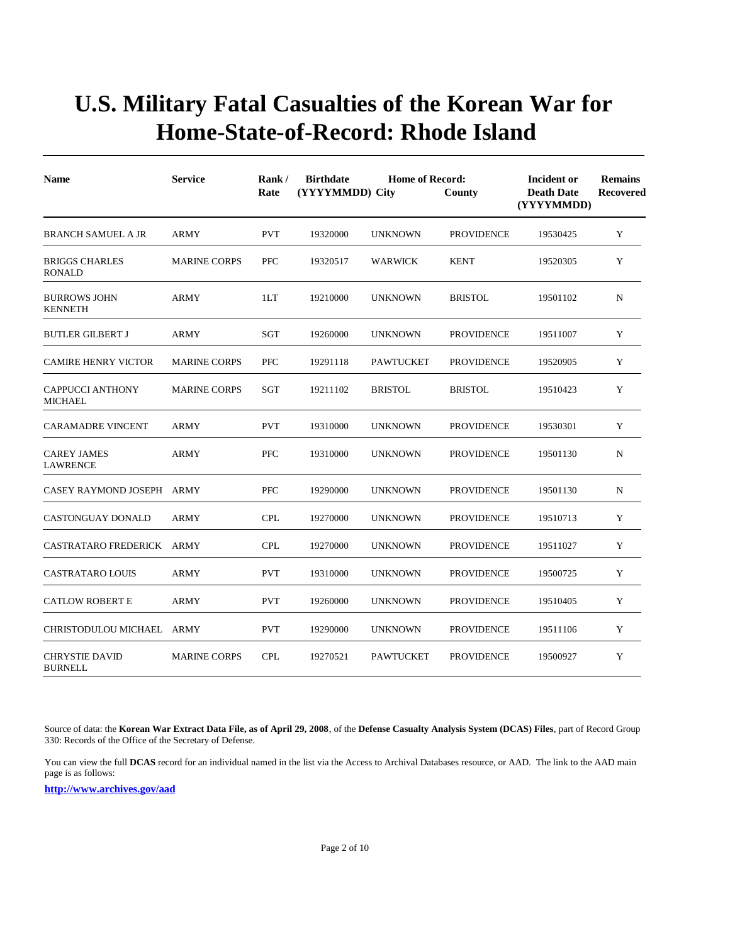| <b>Name</b>                               | <b>Service</b>      | Rank/<br>Rate | <b>Birthdate</b><br>(YYYYMMDD) City | <b>Home of Record:</b> | County            | Incident or<br><b>Death Date</b><br>(YYYYMMDD) | <b>Remains</b><br><b>Recovered</b> |
|-------------------------------------------|---------------------|---------------|-------------------------------------|------------------------|-------------------|------------------------------------------------|------------------------------------|
| <b>BRANCH SAMUEL A JR</b>                 | <b>ARMY</b>         | <b>PVT</b>    | 19320000                            | <b>UNKNOWN</b>         | <b>PROVIDENCE</b> | 19530425                                       | Y                                  |
| <b>BRIGGS CHARLES</b><br><b>RONALD</b>    | <b>MARINE CORPS</b> | <b>PFC</b>    | 19320517                            | <b>WARWICK</b>         | <b>KENT</b>       | 19520305                                       | Y                                  |
| <b>BURROWS JOHN</b><br><b>KENNETH</b>     | ARMY                | 1LT           | 19210000                            | <b>UNKNOWN</b>         | <b>BRISTOL</b>    | 19501102                                       | N                                  |
| <b>BUTLER GILBERT J</b>                   | <b>ARMY</b>         | <b>SGT</b>    | 19260000                            | <b>UNKNOWN</b>         | <b>PROVIDENCE</b> | 19511007                                       | Y                                  |
| <b>CAMIRE HENRY VICTOR</b>                | <b>MARINE CORPS</b> | PFC           | 19291118                            | <b>PAWTUCKET</b>       | <b>PROVIDENCE</b> | 19520905                                       | Y                                  |
| <b>CAPPUCCI ANTHONY</b><br><b>MICHAEL</b> | <b>MARINE CORPS</b> | SGT           | 19211102                            | <b>BRISTOL</b>         | <b>BRISTOL</b>    | 19510423                                       | Y                                  |
| <b>CARAMADRE VINCENT</b>                  | ARMY                | <b>PVT</b>    | 19310000                            | <b>UNKNOWN</b>         | <b>PROVIDENCE</b> | 19530301                                       | Y                                  |
| <b>CAREY JAMES</b><br><b>LAWRENCE</b>     | <b>ARMY</b>         | <b>PFC</b>    | 19310000                            | <b>UNKNOWN</b>         | <b>PROVIDENCE</b> | 19501130                                       | N                                  |
| CASEY RAYMOND JOSEPH ARMY                 |                     | PFC           | 19290000                            | <b>UNKNOWN</b>         | <b>PROVIDENCE</b> | 19501130                                       | N                                  |
| <b>CASTONGUAY DONALD</b>                  | <b>ARMY</b>         | <b>CPL</b>    | 19270000                            | <b>UNKNOWN</b>         | <b>PROVIDENCE</b> | 19510713                                       | Y                                  |
| CASTRATARO FREDERICK ARMY                 |                     | <b>CPL</b>    | 19270000                            | <b>UNKNOWN</b>         | <b>PROVIDENCE</b> | 19511027                                       | Y                                  |
| <b>CASTRATARO LOUIS</b>                   | <b>ARMY</b>         | <b>PVT</b>    | 19310000                            | <b>UNKNOWN</b>         | <b>PROVIDENCE</b> | 19500725                                       | Y                                  |
| <b>CATLOW ROBERT E</b>                    | <b>ARMY</b>         | <b>PVT</b>    | 19260000                            | <b>UNKNOWN</b>         | <b>PROVIDENCE</b> | 19510405                                       | Y                                  |
| CHRISTODULOU MICHAEL ARMY                 |                     | <b>PVT</b>    | 19290000                            | <b>UNKNOWN</b>         | <b>PROVIDENCE</b> | 19511106                                       | Y                                  |
| <b>CHRYSTIE DAVID</b><br><b>BURNELL</b>   | <b>MARINE CORPS</b> | <b>CPL</b>    | 19270521                            | <b>PAWTUCKET</b>       | <b>PROVIDENCE</b> | 19500927                                       | Y                                  |

Source of data: the **Korean War Extract Data File, as of April 29, 2008**, of the **Defense Casualty Analysis System (DCAS) Files**, part of Record Group 330: Records of the Office of the Secretary of Defense.

You can view the full **DCAS** record for an individual named in the list via the Access to Archival Databases resource, or AAD. The link to the AAD main page is as follows: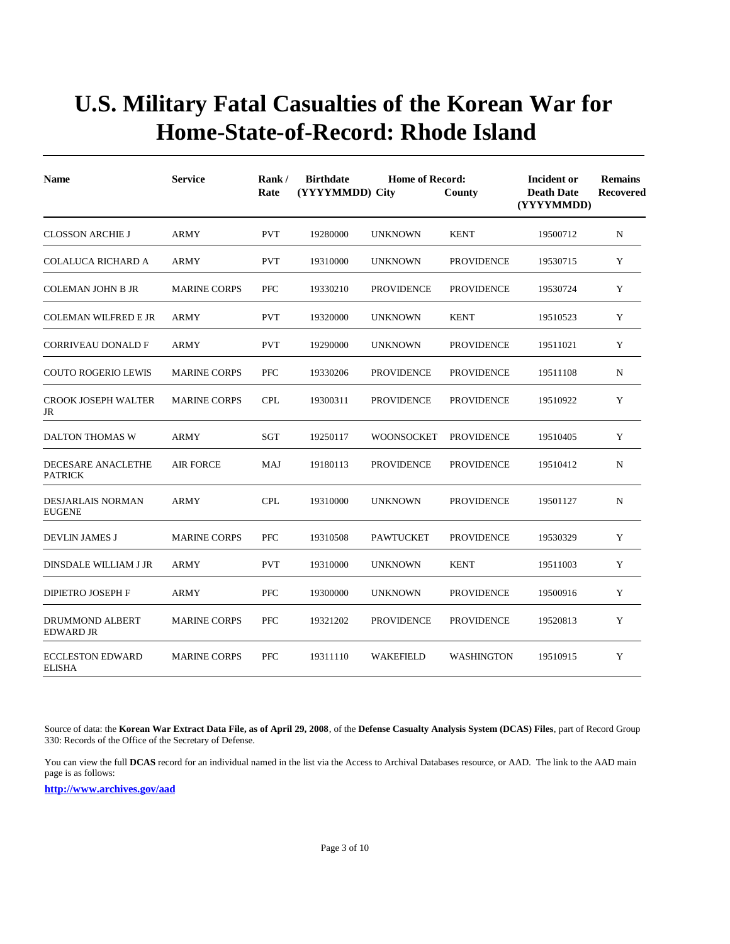| <b>Name</b>                              | <b>Service</b>      | Rank/<br>Rate | <b>Birthdate</b><br>(YYYYMMDD) City | <b>Home of Record:</b> | County            | Incident or<br><b>Death Date</b><br>(YYYYMMDD) | <b>Remains</b><br><b>Recovered</b> |
|------------------------------------------|---------------------|---------------|-------------------------------------|------------------------|-------------------|------------------------------------------------|------------------------------------|
| <b>CLOSSON ARCHIE J</b>                  | <b>ARMY</b>         | <b>PVT</b>    | 19280000                            | <b>UNKNOWN</b>         | <b>KENT</b>       | 19500712                                       | $\mathbf N$                        |
| COLALUCA RICHARD A                       | <b>ARMY</b>         | <b>PVT</b>    | 19310000                            | <b>UNKNOWN</b>         | <b>PROVIDENCE</b> | 19530715                                       | Y                                  |
| COLEMAN JOHN B JR                        | <b>MARINE CORPS</b> | <b>PFC</b>    | 19330210                            | <b>PROVIDENCE</b>      | <b>PROVIDENCE</b> | 19530724                                       | Y                                  |
| <b>COLEMAN WILFRED E JR</b>              | ARMY                | <b>PVT</b>    | 19320000                            | <b>UNKNOWN</b>         | <b>KENT</b>       | 19510523                                       | Y                                  |
| <b>CORRIVEAU DONALD F</b>                | ARMY                | <b>PVT</b>    | 19290000                            | <b>UNKNOWN</b>         | <b>PROVIDENCE</b> | 19511021                                       | Y                                  |
| <b>COUTO ROGERIO LEWIS</b>               | <b>MARINE CORPS</b> | <b>PFC</b>    | 19330206                            | <b>PROVIDENCE</b>      | <b>PROVIDENCE</b> | 19511108                                       | N                                  |
| <b>CROOK JOSEPH WALTER</b><br>JR         | <b>MARINE CORPS</b> | <b>CPL</b>    | 19300311                            | <b>PROVIDENCE</b>      | <b>PROVIDENCE</b> | 19510922                                       | Y                                  |
| DALTON THOMAS W                          | ARMY                | <b>SGT</b>    | 19250117                            | WOONSOCKET             | <b>PROVIDENCE</b> | 19510405                                       | Y                                  |
| DECESARE ANACLETHE<br><b>PATRICK</b>     | <b>AIR FORCE</b>    | MAJ           | 19180113                            | <b>PROVIDENCE</b>      | <b>PROVIDENCE</b> | 19510412                                       | N                                  |
| DESJARLAIS NORMAN<br><b>EUGENE</b>       | <b>ARMY</b>         | <b>CPL</b>    | 19310000                            | <b>UNKNOWN</b>         | <b>PROVIDENCE</b> | 19501127                                       | $\mathbf N$                        |
| DEVLIN JAMES J                           | <b>MARINE CORPS</b> | <b>PFC</b>    | 19310508                            | <b>PAWTUCKET</b>       | <b>PROVIDENCE</b> | 19530329                                       | Y                                  |
| DINSDALE WILLIAM J JR                    | ARMY                | <b>PVT</b>    | 19310000                            | <b>UNKNOWN</b>         | <b>KENT</b>       | 19511003                                       | Y                                  |
| <b>DIPIETRO JOSEPH F</b>                 | <b>ARMY</b>         | <b>PFC</b>    | 19300000                            | <b>UNKNOWN</b>         | <b>PROVIDENCE</b> | 19500916                                       | Y                                  |
| DRUMMOND ALBERT<br><b>EDWARD JR</b>      | <b>MARINE CORPS</b> | <b>PFC</b>    | 19321202                            | <b>PROVIDENCE</b>      | <b>PROVIDENCE</b> | 19520813                                       | Y                                  |
| <b>ECCLESTON EDWARD</b><br><b>ELISHA</b> | <b>MARINE CORPS</b> | <b>PFC</b>    | 19311110                            | WAKEFIELD              | <b>WASHINGTON</b> | 19510915                                       | Y                                  |

Source of data: the **Korean War Extract Data File, as of April 29, 2008**, of the **Defense Casualty Analysis System (DCAS) Files**, part of Record Group 330: Records of the Office of the Secretary of Defense.

You can view the full **DCAS** record for an individual named in the list via the Access to Archival Databases resource, or AAD. The link to the AAD main page is as follows: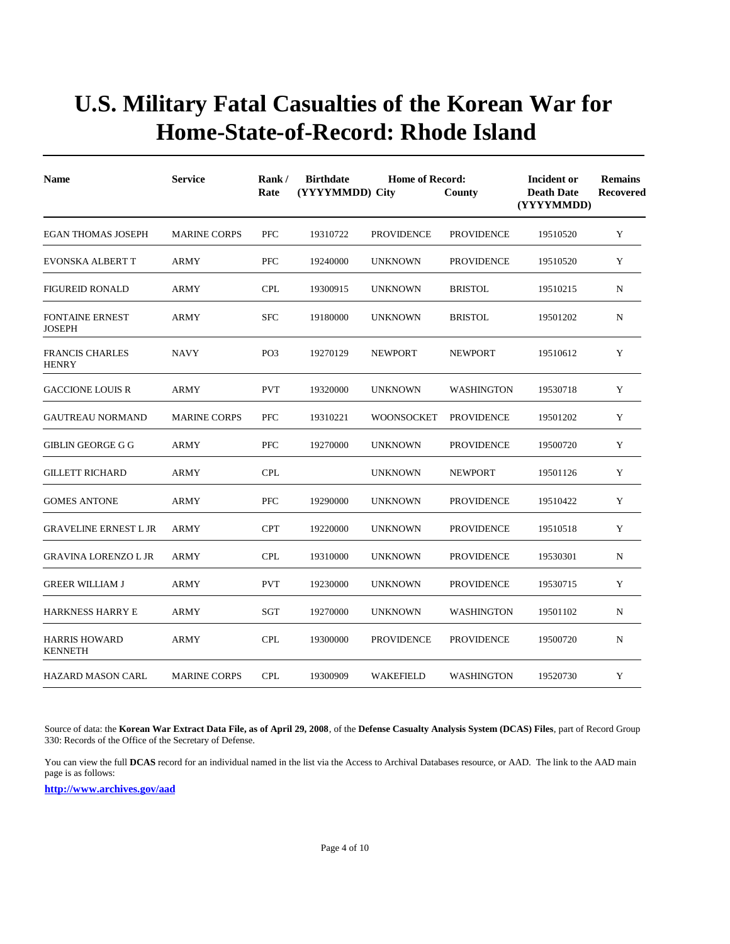| <b>Name</b>                             | <b>Service</b>      | Rank/<br>Rate   | <b>Birthdate</b><br>(YYYYMMDD) City | <b>Home of Record:</b> | County            | Incident or<br><b>Death Date</b><br>(YYYYMMDD) | <b>Remains</b><br><b>Recovered</b> |
|-----------------------------------------|---------------------|-----------------|-------------------------------------|------------------------|-------------------|------------------------------------------------|------------------------------------|
| <b>EGAN THOMAS JOSEPH</b>               | <b>MARINE CORPS</b> | <b>PFC</b>      | 19310722                            | <b>PROVIDENCE</b>      | <b>PROVIDENCE</b> | 19510520                                       | Y                                  |
| <b>EVONSKA ALBERT T</b>                 | <b>ARMY</b>         | <b>PFC</b>      | 19240000                            | <b>UNKNOWN</b>         | <b>PROVIDENCE</b> | 19510520                                       | Y                                  |
| <b>FIGUREID RONALD</b>                  | <b>ARMY</b>         | <b>CPL</b>      | 19300915                            | <b>UNKNOWN</b>         | <b>BRISTOL</b>    | 19510215                                       | N                                  |
| <b>FONTAINE ERNEST</b><br><b>JOSEPH</b> | <b>ARMY</b>         | <b>SFC</b>      | 19180000                            | <b>UNKNOWN</b>         | <b>BRISTOL</b>    | 19501202                                       | $\mathbf N$                        |
| <b>FRANCIS CHARLES</b><br><b>HENRY</b>  | <b>NAVY</b>         | PO <sub>3</sub> | 19270129                            | <b>NEWPORT</b>         | <b>NEWPORT</b>    | 19510612                                       | Y                                  |
| <b>GACCIONE LOUIS R</b>                 | ARMY                | <b>PVT</b>      | 19320000                            | <b>UNKNOWN</b>         | <b>WASHINGTON</b> | 19530718                                       | Y                                  |
| <b>GAUTREAU NORMAND</b>                 | <b>MARINE CORPS</b> | <b>PFC</b>      | 19310221                            | WOONSOCKET             | <b>PROVIDENCE</b> | 19501202                                       | Y                                  |
| <b>GIBLIN GEORGE G G</b>                | ARMY                | <b>PFC</b>      | 19270000                            | <b>UNKNOWN</b>         | <b>PROVIDENCE</b> | 19500720                                       | Y                                  |
| <b>GILLETT RICHARD</b>                  | ARMY                | <b>CPL</b>      |                                     | <b>UNKNOWN</b>         | <b>NEWPORT</b>    | 19501126                                       | Y                                  |
| <b>GOMES ANTONE</b>                     | <b>ARMY</b>         | <b>PFC</b>      | 19290000                            | <b>UNKNOWN</b>         | <b>PROVIDENCE</b> | 19510422                                       | Y                                  |
| <b>GRAVELINE ERNEST L JR</b>            | <b>ARMY</b>         | <b>CPT</b>      | 19220000                            | <b>UNKNOWN</b>         | <b>PROVIDENCE</b> | 19510518                                       | Y                                  |
| <b>GRAVINA LORENZO L JR</b>             | <b>ARMY</b>         | <b>CPL</b>      | 19310000                            | <b>UNKNOWN</b>         | <b>PROVIDENCE</b> | 19530301                                       | $\mathbf N$                        |
| <b>GREER WILLIAM J</b>                  | <b>ARMY</b>         | <b>PVT</b>      | 19230000                            | <b>UNKNOWN</b>         | <b>PROVIDENCE</b> | 19530715                                       | Y                                  |
| HARKNESS HARRY E                        | ARMY                | SGT             | 19270000                            | <b>UNKNOWN</b>         | WASHINGTON        | 19501102                                       | N                                  |
| <b>HARRIS HOWARD</b><br><b>KENNETH</b>  | <b>ARMY</b>         | <b>CPL</b>      | 19300000                            | <b>PROVIDENCE</b>      | <b>PROVIDENCE</b> | 19500720                                       | $\mathbf N$                        |
| <b>HAZARD MASON CARL</b>                | <b>MARINE CORPS</b> | <b>CPL</b>      | 19300909                            | WAKEFIELD              | <b>WASHINGTON</b> | 19520730                                       | Y                                  |

Source of data: the **Korean War Extract Data File, as of April 29, 2008**, of the **Defense Casualty Analysis System (DCAS) Files**, part of Record Group 330: Records of the Office of the Secretary of Defense.

You can view the full **DCAS** record for an individual named in the list via the Access to Archival Databases resource, or AAD. The link to the AAD main page is as follows: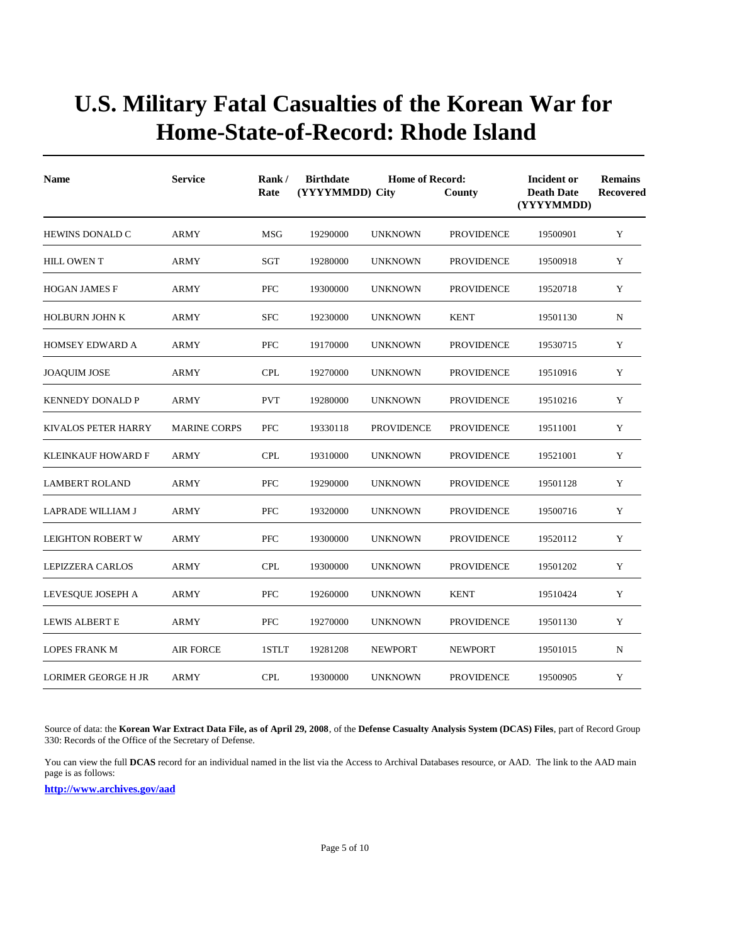| <b>Name</b>                | <b>Service</b>      | Rank/<br>Rate | <b>Birthdate</b><br>(YYYYMMDD) City | <b>Home of Record:</b> | County            | <b>Incident or</b><br><b>Death Date</b><br>(YYYYMMDD) | <b>Remains</b><br><b>Recovered</b> |
|----------------------------|---------------------|---------------|-------------------------------------|------------------------|-------------------|-------------------------------------------------------|------------------------------------|
| HEWINS DONALD C            | <b>ARMY</b>         | <b>MSG</b>    | 19290000                            | <b>UNKNOWN</b>         | <b>PROVIDENCE</b> | 19500901                                              | Y                                  |
| <b>HILL OWEN T</b>         | <b>ARMY</b>         | <b>SGT</b>    | 19280000                            | <b>UNKNOWN</b>         | <b>PROVIDENCE</b> | 19500918                                              | Y                                  |
| <b>HOGAN JAMES F</b>       | <b>ARMY</b>         | <b>PFC</b>    | 19300000                            | <b>UNKNOWN</b>         | <b>PROVIDENCE</b> | 19520718                                              | Y                                  |
| <b>HOLBURN JOHN K</b>      | <b>ARMY</b>         | <b>SFC</b>    | 19230000                            | <b>UNKNOWN</b>         | <b>KENT</b>       | 19501130                                              | N                                  |
| <b>HOMSEY EDWARD A</b>     | <b>ARMY</b>         | <b>PFC</b>    | 19170000                            | <b>UNKNOWN</b>         | <b>PROVIDENCE</b> | 19530715                                              | Y                                  |
| <b>JOAQUIM JOSE</b>        | <b>ARMY</b>         | <b>CPL</b>    | 19270000                            | <b>UNKNOWN</b>         | <b>PROVIDENCE</b> | 19510916                                              | Y                                  |
| <b>KENNEDY DONALD P</b>    | <b>ARMY</b>         | <b>PVT</b>    | 19280000                            | <b>UNKNOWN</b>         | <b>PROVIDENCE</b> | 19510216                                              | Y                                  |
| <b>KIVALOS PETER HARRY</b> | <b>MARINE CORPS</b> | <b>PFC</b>    | 19330118                            | <b>PROVIDENCE</b>      | <b>PROVIDENCE</b> | 19511001                                              | Y                                  |
| <b>KLEINKAUF HOWARD F</b>  | <b>ARMY</b>         | <b>CPL</b>    | 19310000                            | <b>UNKNOWN</b>         | <b>PROVIDENCE</b> | 19521001                                              | Y                                  |
| <b>LAMBERT ROLAND</b>      | ARMY                | <b>PFC</b>    | 19290000                            | <b>UNKNOWN</b>         | <b>PROVIDENCE</b> | 19501128                                              | Y                                  |
| LAPRADE WILLIAM J          | <b>ARMY</b>         | <b>PFC</b>    | 19320000                            | <b>UNKNOWN</b>         | <b>PROVIDENCE</b> | 19500716                                              | Y                                  |
| <b>LEIGHTON ROBERT W</b>   | ARMY                | <b>PFC</b>    | 19300000                            | <b>UNKNOWN</b>         | <b>PROVIDENCE</b> | 19520112                                              | Y                                  |
| <b>LEPIZZERA CARLOS</b>    | <b>ARMY</b>         | <b>CPL</b>    | 19300000                            | <b>UNKNOWN</b>         | <b>PROVIDENCE</b> | 19501202                                              | Y                                  |
| LEVESQUE JOSEPH A          | ARMY                | <b>PFC</b>    | 19260000                            | <b>UNKNOWN</b>         | <b>KENT</b>       | 19510424                                              | Y                                  |
| LEWIS ALBERT E             | ARMY                | <b>PFC</b>    | 19270000                            | <b>UNKNOWN</b>         | <b>PROVIDENCE</b> | 19501130                                              | Y                                  |
| <b>LOPES FRANK M</b>       | <b>AIR FORCE</b>    | 1STLT         | 19281208                            | <b>NEWPORT</b>         | <b>NEWPORT</b>    | 19501015                                              | N                                  |
| <b>LORIMER GEORGE H JR</b> | <b>ARMY</b>         | <b>CPL</b>    | 19300000                            | <b>UNKNOWN</b>         | <b>PROVIDENCE</b> | 19500905                                              | Y                                  |

Source of data: the **Korean War Extract Data File, as of April 29, 2008**, of the **Defense Casualty Analysis System (DCAS) Files**, part of Record Group 330: Records of the Office of the Secretary of Defense.

You can view the full **DCAS** record for an individual named in the list via the Access to Archival Databases resource, or AAD. The link to the AAD main page is as follows: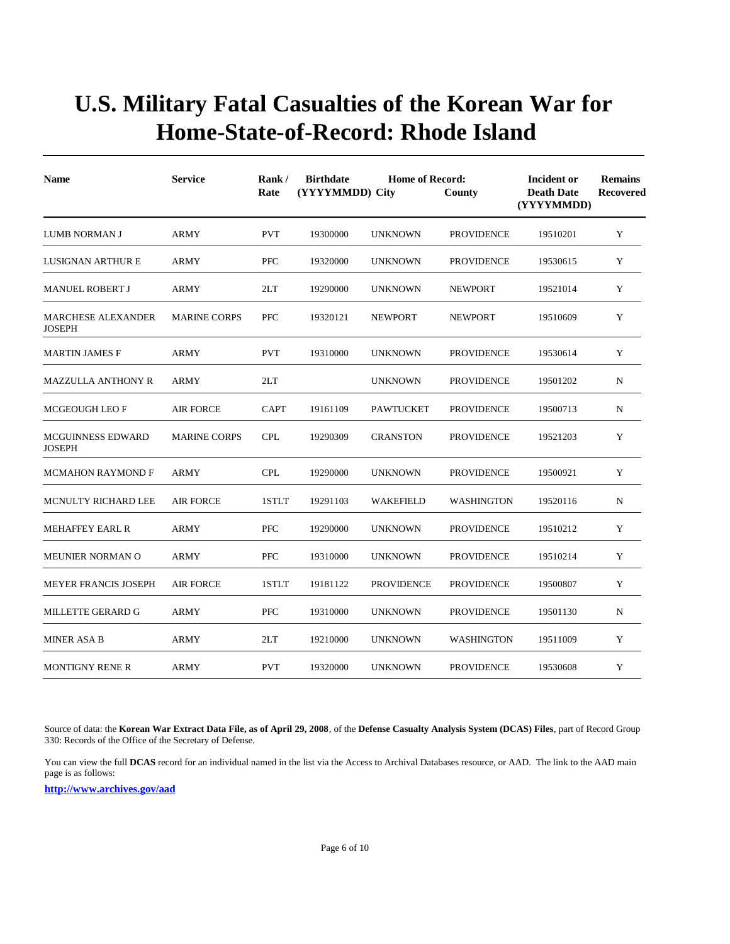| <b>Name</b>                                | <b>Service</b>      | Rank/<br>Rate | <b>Birthdate</b><br>(YYYYMMDD) City | <b>Home of Record:</b> | County            | Incident or<br><b>Death Date</b><br>(YYYYMMDD) | <b>Remains</b><br>Recovered |
|--------------------------------------------|---------------------|---------------|-------------------------------------|------------------------|-------------------|------------------------------------------------|-----------------------------|
| LUMB NORMAN J                              | <b>ARMY</b>         | <b>PVT</b>    | 19300000                            | <b>UNKNOWN</b>         | <b>PROVIDENCE</b> | 19510201                                       | Y                           |
| LUSIGNAN ARTHUR E                          | <b>ARMY</b>         | <b>PFC</b>    | 19320000                            | <b>UNKNOWN</b>         | <b>PROVIDENCE</b> | 19530615                                       | Y                           |
| <b>MANUEL ROBERT J</b>                     | ARMY                | 2LT           | 19290000                            | <b>UNKNOWN</b>         | <b>NEWPORT</b>    | 19521014                                       | Y                           |
| <b>MARCHESE ALEXANDER</b><br><b>JOSEPH</b> | <b>MARINE CORPS</b> | <b>PFC</b>    | 19320121                            | <b>NEWPORT</b>         | <b>NEWPORT</b>    | 19510609                                       | Y                           |
| <b>MARTIN JAMES F</b>                      | <b>ARMY</b>         | <b>PVT</b>    | 19310000                            | <b>UNKNOWN</b>         | <b>PROVIDENCE</b> | 19530614                                       | Y                           |
| <b>MAZZULLA ANTHONY R</b>                  | <b>ARMY</b>         | 2LT           |                                     | <b>UNKNOWN</b>         | <b>PROVIDENCE</b> | 19501202                                       | N                           |
| <b>MCGEOUGH LEO F</b>                      | <b>AIR FORCE</b>    | <b>CAPT</b>   | 19161109                            | <b>PAWTUCKET</b>       | <b>PROVIDENCE</b> | 19500713                                       | N                           |
| MCGUINNESS EDWARD<br><b>JOSEPH</b>         | <b>MARINE CORPS</b> | <b>CPL</b>    | 19290309                            | <b>CRANSTON</b>        | <b>PROVIDENCE</b> | 19521203                                       | Y                           |
| <b>MCMAHON RAYMOND F</b>                   | ARMY                | <b>CPL</b>    | 19290000                            | <b>UNKNOWN</b>         | <b>PROVIDENCE</b> | 19500921                                       | Y                           |
| <b>MCNULTY RICHARD LEE</b>                 | AIR FORCE           | 1STLT         | 19291103                            | WAKEFIELD              | <b>WASHINGTON</b> | 19520116                                       | N                           |
| <b>MEHAFFEY EARL R</b>                     | <b>ARMY</b>         | <b>PFC</b>    | 19290000                            | <b>UNKNOWN</b>         | <b>PROVIDENCE</b> | 19510212                                       | Y                           |
| <b>MEUNIER NORMAN O</b>                    | ARMY                | <b>PFC</b>    | 19310000                            | <b>UNKNOWN</b>         | <b>PROVIDENCE</b> | 19510214                                       | Y                           |
| <b>MEYER FRANCIS JOSEPH</b>                | <b>AIR FORCE</b>    | 1STLT         | 19181122                            | <b>PROVIDENCE</b>      | <b>PROVIDENCE</b> | 19500807                                       | Y                           |
| MILLETTE GERARD G                          | ARMY                | <b>PFC</b>    | 19310000                            | <b>UNKNOWN</b>         | <b>PROVIDENCE</b> | 19501130                                       | N                           |
| <b>MINER ASA B</b>                         | ARMY                | 2LT           | 19210000                            | <b>UNKNOWN</b>         | WASHINGTON        | 19511009                                       | Y                           |
| <b>MONTIGNY RENE R</b>                     | <b>ARMY</b>         | <b>PVT</b>    | 19320000                            | <b>UNKNOWN</b>         | <b>PROVIDENCE</b> | 19530608                                       | Y                           |

Source of data: the **Korean War Extract Data File, as of April 29, 2008**, of the **Defense Casualty Analysis System (DCAS) Files**, part of Record Group 330: Records of the Office of the Secretary of Defense.

You can view the full **DCAS** record for an individual named in the list via the Access to Archival Databases resource, or AAD. The link to the AAD main page is as follows: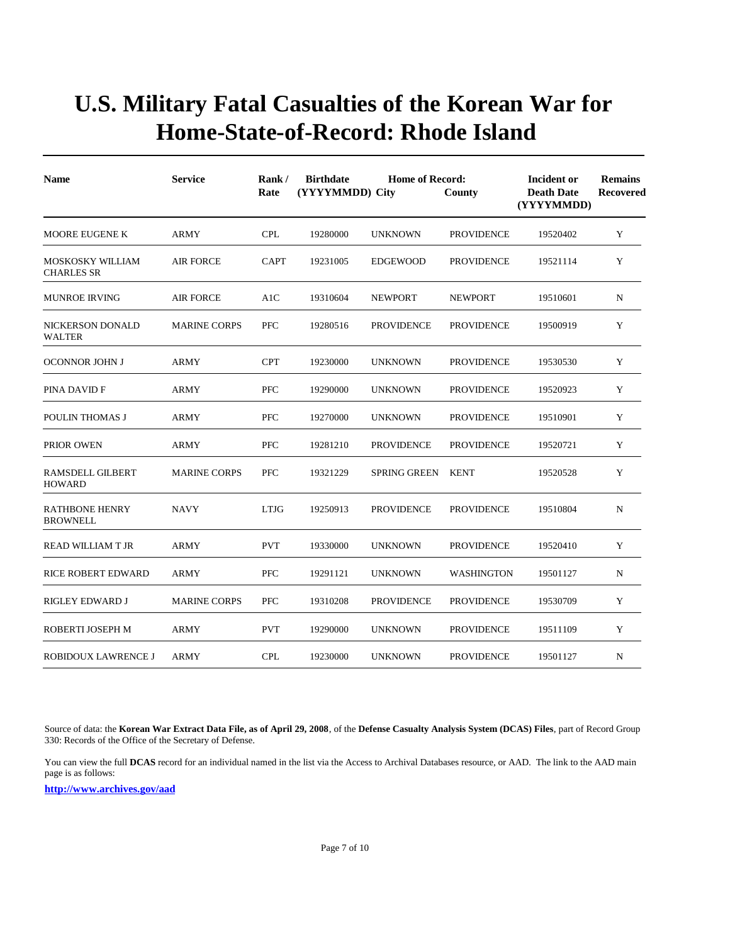| <b>Name</b>                              | <b>Service</b>      | Rank/<br>Rate | <b>Birthdate</b><br>(YYYYMMDD) City | <b>Home of Record:</b> | County            | Incident or<br><b>Death Date</b><br>(YYYYMMDD) | <b>Remains</b><br>Recovered |
|------------------------------------------|---------------------|---------------|-------------------------------------|------------------------|-------------------|------------------------------------------------|-----------------------------|
| <b>MOORE EUGENE K</b>                    | <b>ARMY</b>         | <b>CPL</b>    | 19280000                            | <b>UNKNOWN</b>         | <b>PROVIDENCE</b> | 19520402                                       | Y                           |
| MOSKOSKY WILLIAM<br><b>CHARLES SR</b>    | <b>AIR FORCE</b>    | <b>CAPT</b>   | 19231005                            | <b>EDGEWOOD</b>        | <b>PROVIDENCE</b> | 19521114                                       | Y                           |
| <b>MUNROE IRVING</b>                     | <b>AIR FORCE</b>    | A1C           | 19310604                            | <b>NEWPORT</b>         | <b>NEWPORT</b>    | 19510601                                       | $\mathbf N$                 |
| NICKERSON DONALD<br><b>WALTER</b>        | <b>MARINE CORPS</b> | <b>PFC</b>    | 19280516                            | <b>PROVIDENCE</b>      | <b>PROVIDENCE</b> | 19500919                                       | Y                           |
| <b>OCONNOR JOHN J</b>                    | <b>ARMY</b>         | <b>CPT</b>    | 19230000                            | <b>UNKNOWN</b>         | <b>PROVIDENCE</b> | 19530530                                       | Y                           |
| PINA DAVID F                             | <b>ARMY</b>         | PFC           | 19290000                            | <b>UNKNOWN</b>         | <b>PROVIDENCE</b> | 19520923                                       | Y                           |
| POULIN THOMAS J                          | <b>ARMY</b>         | PFC           | 19270000                            | <b>UNKNOWN</b>         | <b>PROVIDENCE</b> | 19510901                                       | Y                           |
| PRIOR OWEN                               | ARMY                | PFC           | 19281210                            | <b>PROVIDENCE</b>      | <b>PROVIDENCE</b> | 19520721                                       | Y                           |
| <b>RAMSDELL GILBERT</b><br><b>HOWARD</b> | <b>MARINE CORPS</b> | PFC           | 19321229                            | <b>SPRING GREEN</b>    | <b>KENT</b>       | 19520528                                       | Y                           |
| <b>RATHBONE HENRY</b><br><b>BROWNELL</b> | <b>NAVY</b>         | <b>LTJG</b>   | 19250913                            | <b>PROVIDENCE</b>      | <b>PROVIDENCE</b> | 19510804                                       | N                           |
| <b>READ WILLIAM T JR</b>                 | <b>ARMY</b>         | <b>PVT</b>    | 19330000                            | <b>UNKNOWN</b>         | <b>PROVIDENCE</b> | 19520410                                       | Y                           |
| <b>RICE ROBERT EDWARD</b>                | <b>ARMY</b>         | PFC           | 19291121                            | <b>UNKNOWN</b>         | <b>WASHINGTON</b> | 19501127                                       | N                           |
| RIGLEY EDWARD J                          | <b>MARINE CORPS</b> | PFC           | 19310208                            | <b>PROVIDENCE</b>      | <b>PROVIDENCE</b> | 19530709                                       | Y                           |
| ROBERTI JOSEPH M                         | <b>ARMY</b>         | <b>PVT</b>    | 19290000                            | <b>UNKNOWN</b>         | <b>PROVIDENCE</b> | 19511109                                       | Y                           |
| ROBIDOUX LAWRENCE J                      | ARMY                | <b>CPL</b>    | 19230000                            | <b>UNKNOWN</b>         | <b>PROVIDENCE</b> | 19501127                                       | N                           |

Source of data: the **Korean War Extract Data File, as of April 29, 2008**, of the **Defense Casualty Analysis System (DCAS) Files**, part of Record Group 330: Records of the Office of the Secretary of Defense.

You can view the full **DCAS** record for an individual named in the list via the Access to Archival Databases resource, or AAD. The link to the AAD main page is as follows: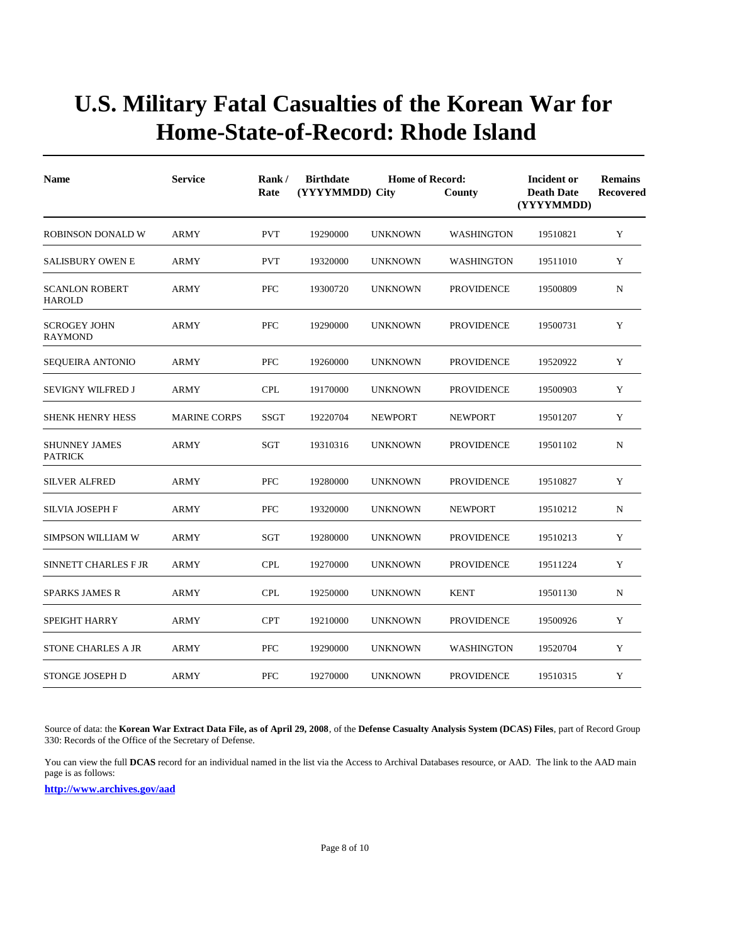| <b>Name</b>                            | <b>Service</b>      | Rank/<br>Rate | <b>Birthdate</b><br>(YYYYMMDD) City | <b>Home of Record:</b> | County            | Incident or<br><b>Death Date</b><br>(YYYYMMDD) | <b>Remains</b><br><b>Recovered</b> |  |
|----------------------------------------|---------------------|---------------|-------------------------------------|------------------------|-------------------|------------------------------------------------|------------------------------------|--|
| <b>ROBINSON DONALD W</b>               | <b>ARMY</b>         | <b>PVT</b>    | 19290000                            | <b>UNKNOWN</b>         | <b>WASHINGTON</b> | 19510821                                       | Y                                  |  |
| <b>SALISBURY OWEN E</b>                | ARMY                | <b>PVT</b>    | 19320000                            | <b>UNKNOWN</b>         | <b>WASHINGTON</b> | 19511010                                       | Y                                  |  |
| <b>SCANLON ROBERT</b><br><b>HAROLD</b> | <b>ARMY</b>         | <b>PFC</b>    | 19300720                            | <b>UNKNOWN</b>         | <b>PROVIDENCE</b> | 19500809                                       | N                                  |  |
| <b>SCROGEY JOHN</b><br><b>RAYMOND</b>  | ARMY                | <b>PFC</b>    | 19290000                            | <b>UNKNOWN</b>         | <b>PROVIDENCE</b> | 19500731                                       | Y                                  |  |
| <b>SEQUEIRA ANTONIO</b>                | <b>ARMY</b>         | <b>PFC</b>    | 19260000                            | <b>UNKNOWN</b>         | <b>PROVIDENCE</b> | 19520922                                       | Y                                  |  |
| <b>SEVIGNY WILFRED J</b>               | ARMY                | <b>CPL</b>    | 19170000                            | <b>UNKNOWN</b>         | <b>PROVIDENCE</b> | 19500903                                       | Y                                  |  |
| <b>SHENK HENRY HESS</b>                | <b>MARINE CORPS</b> | <b>SSGT</b>   | 19220704                            | <b>NEWPORT</b>         | <b>NEWPORT</b>    | 19501207                                       | Y                                  |  |
| <b>SHUNNEY JAMES</b><br><b>PATRICK</b> | <b>ARMY</b>         | <b>SGT</b>    | 19310316                            | <b>UNKNOWN</b>         | <b>PROVIDENCE</b> | 19501102                                       | ${\bf N}$                          |  |
| <b>SILVER ALFRED</b>                   | ARMY                | <b>PFC</b>    | 19280000                            | <b>UNKNOWN</b>         | <b>PROVIDENCE</b> | 19510827                                       | Y                                  |  |
| <b>SILVIA JOSEPH F</b>                 | ARMY                | <b>PFC</b>    | 19320000                            | UNKNOWN                | <b>NEWPORT</b>    | 19510212                                       | N                                  |  |
| <b>SIMPSON WILLIAM W</b>               | ARMY                | <b>SGT</b>    | 19280000                            | UNKNOWN                | <b>PROVIDENCE</b> | 19510213                                       | Y                                  |  |
| <b>SINNETT CHARLES F JR</b>            | ARMY                | <b>CPL</b>    | 19270000                            | <b>UNKNOWN</b>         | <b>PROVIDENCE</b> | 19511224                                       | Y                                  |  |
| SPARKS JAMES R                         | ARMY                | <b>CPL</b>    | 19250000                            | <b>UNKNOWN</b>         | <b>KENT</b>       | 19501130                                       | N                                  |  |
| SPEIGHT HARRY                          | <b>ARMY</b>         | <b>CPT</b>    | 19210000                            | UNKNOWN                | <b>PROVIDENCE</b> | 19500926                                       | Y                                  |  |
| <b>STONE CHARLES A JR</b>              | <b>ARMY</b>         | <b>PFC</b>    | 19290000                            | <b>UNKNOWN</b>         | <b>WASHINGTON</b> | 19520704                                       | Y                                  |  |
| STONGE JOSEPH D                        | <b>ARMY</b>         | <b>PFC</b>    | 19270000                            | <b>UNKNOWN</b>         | <b>PROVIDENCE</b> | 19510315                                       | Y                                  |  |

Source of data: the **Korean War Extract Data File, as of April 29, 2008**, of the **Defense Casualty Analysis System (DCAS) Files**, part of Record Group 330: Records of the Office of the Secretary of Defense.

You can view the full **DCAS** record for an individual named in the list via the Access to Archival Databases resource, or AAD. The link to the AAD main page is as follows: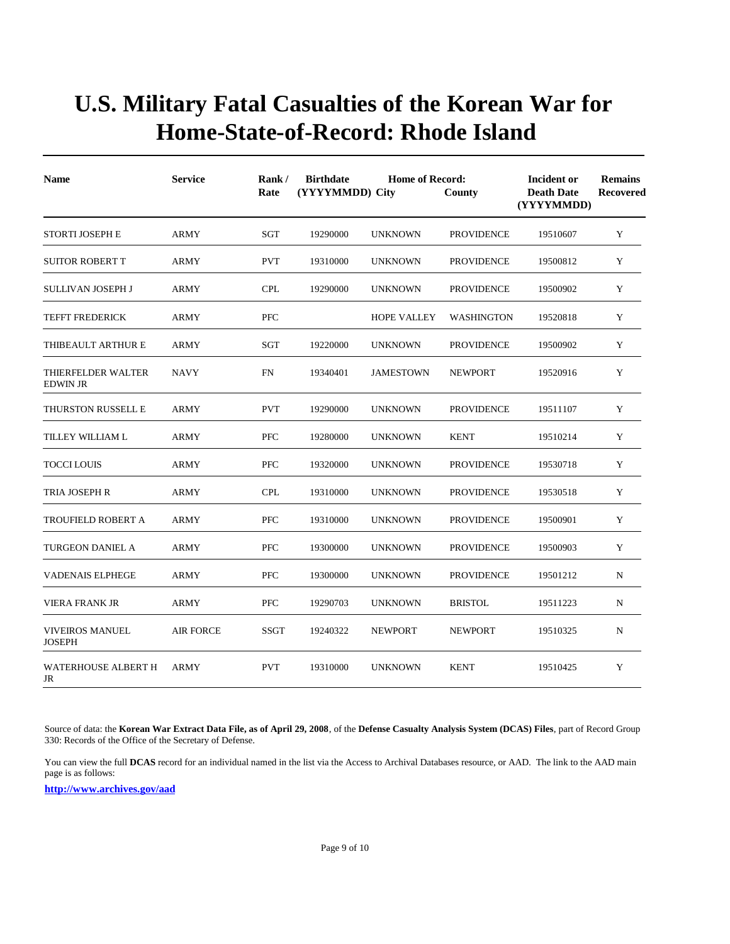| <b>Name</b>                                  | <b>Service</b>   | Rank/<br>Rate | <b>Birthdate</b><br>(YYYYMMDD) City | <b>Home of Record:</b> | County            | Incident or<br><b>Death Date</b><br>(YYYYMMDD) | <b>Remains</b><br><b>Recovered</b> |
|----------------------------------------------|------------------|---------------|-------------------------------------|------------------------|-------------------|------------------------------------------------|------------------------------------|
| <b>STORTI JOSEPH E</b>                       | <b>ARMY</b>      | SGT           | 19290000                            | <b>UNKNOWN</b>         | <b>PROVIDENCE</b> | 19510607                                       | Y                                  |
| <b>SUITOR ROBERT T</b>                       | ARMY             | <b>PVT</b>    | 19310000                            | <b>UNKNOWN</b>         | <b>PROVIDENCE</b> | 19500812                                       | Y                                  |
| SULLIVAN JOSEPH J                            | <b>ARMY</b>      | <b>CPL</b>    | 19290000                            | <b>UNKNOWN</b>         | <b>PROVIDENCE</b> | 19500902                                       | Y                                  |
| <b>TEFFT FREDERICK</b>                       | ARMY             | <b>PFC</b>    |                                     | <b>HOPE VALLEY</b>     | <b>WASHINGTON</b> | 19520818                                       | Y                                  |
| THIBEAULT ARTHUR E                           | <b>ARMY</b>      | SGT           | 19220000                            | <b>UNKNOWN</b>         | <b>PROVIDENCE</b> | 19500902                                       | Y                                  |
| <b>THIERFELDER WALTER</b><br><b>EDWIN JR</b> | <b>NAVY</b>      | <b>FN</b>     | 19340401                            | <b>JAMESTOWN</b>       | <b>NEWPORT</b>    | 19520916                                       | Y                                  |
| THURSTON RUSSELL E                           | ARMY             | <b>PVT</b>    | 19290000                            | <b>UNKNOWN</b>         | <b>PROVIDENCE</b> | 19511107                                       | Y                                  |
| TILLEY WILLIAM L                             | <b>ARMY</b>      | <b>PFC</b>    | 19280000                            | <b>UNKNOWN</b>         | <b>KENT</b>       | 19510214                                       | Y                                  |
| <b>TOCCI LOUIS</b>                           | <b>ARMY</b>      | <b>PFC</b>    | 19320000                            | <b>UNKNOWN</b>         | <b>PROVIDENCE</b> | 19530718                                       | Y                                  |
| TRIA JOSEPH R                                | ARMY             | <b>CPL</b>    | 19310000                            | <b>UNKNOWN</b>         | <b>PROVIDENCE</b> | 19530518                                       | Y                                  |
| TROUFIELD ROBERT A                           | <b>ARMY</b>      | <b>PFC</b>    | 19310000                            | <b>UNKNOWN</b>         | <b>PROVIDENCE</b> | 19500901                                       | Y                                  |
| <b>TURGEON DANIEL A</b>                      | <b>ARMY</b>      | <b>PFC</b>    | 19300000                            | <b>UNKNOWN</b>         | <b>PROVIDENCE</b> | 19500903                                       | Y                                  |
| <b>VADENAIS ELPHEGE</b>                      | <b>ARMY</b>      | PFC           | 19300000                            | <b>UNKNOWN</b>         | <b>PROVIDENCE</b> | 19501212                                       | $\mathbf N$                        |
| <b>VIERA FRANK JR</b>                        | <b>ARMY</b>      | <b>PFC</b>    | 19290703                            | <b>UNKNOWN</b>         | <b>BRISTOL</b>    | 19511223                                       | ${\bf N}$                          |
| <b>VIVEIROS MANUEL</b><br><b>JOSEPH</b>      | <b>AIR FORCE</b> | <b>SSGT</b>   | 19240322                            | <b>NEWPORT</b>         | <b>NEWPORT</b>    | 19510325                                       | N                                  |
| <b>WATERHOUSE ALBERT H</b><br>JR             | <b>ARMY</b>      | <b>PVT</b>    | 19310000                            | <b>UNKNOWN</b>         | <b>KENT</b>       | 19510425                                       | Y                                  |

Source of data: the **Korean War Extract Data File, as of April 29, 2008**, of the **Defense Casualty Analysis System (DCAS) Files**, part of Record Group 330: Records of the Office of the Secretary of Defense.

You can view the full **DCAS** record for an individual named in the list via the Access to Archival Databases resource, or AAD. The link to the AAD main page is as follows: